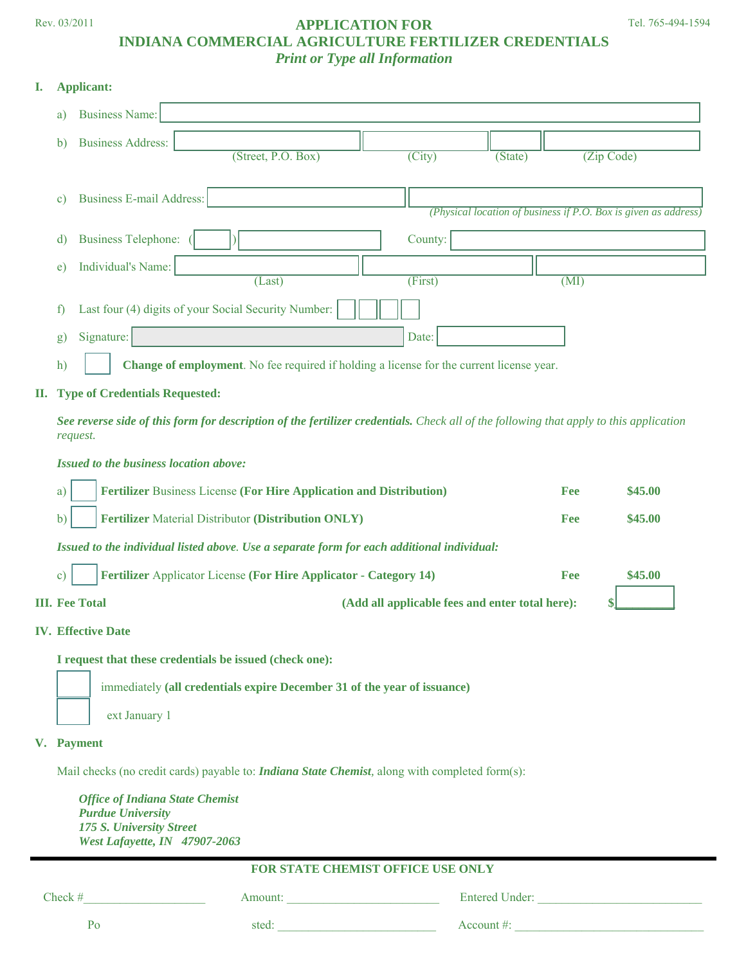#### Rev. 03/2011 **APPLICATION FOR INDIANA COMMERCIAL AGRICULTURE FERTILIZER CREDENTIALS**  *Print or Type all Information*

#### **I. Applicant:**

| <b>Business Address:</b><br>$\mathbf{b}$ |                                                      |                            |         |                                                                   |
|------------------------------------------|------------------------------------------------------|----------------------------|---------|-------------------------------------------------------------------|
|                                          | (Street, P.O. Box)                                   | $\overline{\text{(City)}}$ | (State) | (Zip Code)                                                        |
| <b>Business E-mail Address:</b><br>c)    |                                                      |                            |         | (Physical location of business if $P.O.$ Box is given as address) |
| <b>Business Telephone:</b><br>d)         |                                                      | County:                    |         |                                                                   |
| Individual's Name:<br>e)                 | (Last)                                               | (First)                    |         | (MI)                                                              |
| f)                                       | Last four (4) digits of your Social Security Number: |                            |         |                                                                   |
|                                          |                                                      |                            |         |                                                                   |

#### **II. Type of Credentials Requested:**

*See reverse side of this form for description of the fertilizer credentials. Check all of the following that apply to this application request.* 

*Issued to the business location above:* 

| <b>III. Fee Total</b>                                                                      | (Add all applicable fees and enter total here): |     |         |  |
|--------------------------------------------------------------------------------------------|-------------------------------------------------|-----|---------|--|
| Fertilizer Applicator License (For Hire Applicator - Category 14)                          |                                                 |     | \$45.00 |  |
| Issued to the individual listed above. Use a separate form for each additional individual: |                                                 |     |         |  |
| <b>Fertilizer</b> Material Distributor (Distribution ONLY)                                 |                                                 | Fee | \$45.00 |  |
| Fertilizer Business License (For Hire Application and Distribution)                        |                                                 | Fee | \$45,00 |  |

#### **IV. Effective Date**

 **I request that these credentials be issued (check one):** 

immediately **(all credentials expire December 31 of the year of issuance)**  ext January 1

**V. Payment** 

Mail checks (no credit cards) payable to: *Indiana State Chemist,* along with completed form(s):

 *Office of Indiana State Chemist Purdue University 175 S. University Street West Lafayette, IN 47907-2063* 

| <b>FOR STATE CHEMIST OFFICE USE ONLY</b> |         |                       |  |  |
|------------------------------------------|---------|-----------------------|--|--|
| Check $#$                                | Amount: | <b>Entered Under:</b> |  |  |
| ۲ο                                       | sted:   | Account #:            |  |  |